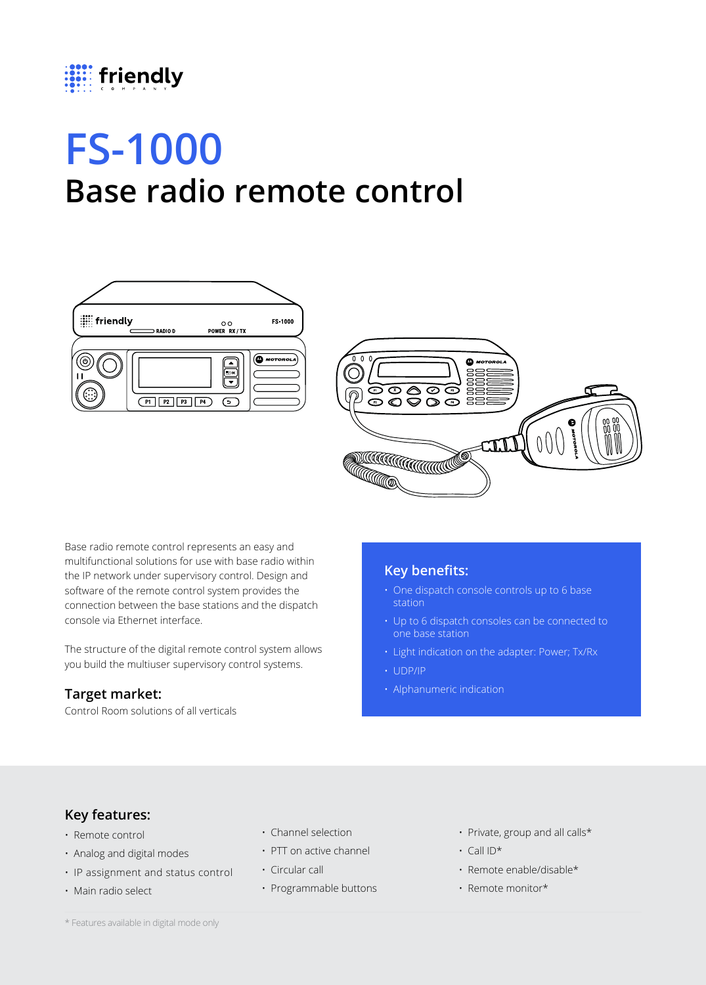

# **FS-1000 Base radio remote control**





Base radio remote control represents an easy and multifunctional solutions for use with base radio within the IP network under supervisory control. Design and software of the remote control system provides the connection between the base stations and the dispatch console via Ethernet interface.

The structure of the digital remote control system allows you build the multiuser supervisory control systems.

#### **Target market:**

Control Room solutions of all verticals

### **Key benefits:**

- One dispatch console controls up to 6 base station
- Up to 6 dispatch consoles can be connected to one base station
- Light indication on the adapter: Power; Tx/Rx
- UDP/IP
- Alphanumeric indication

## **Key features:**

- Remote control
- Analog and digital modes
- IP assignment and status control
- Main radio select
- Channel selection
- PTT on active channel
- Circular call
- Programmable buttons
- Private, group and all calls\*
- Call ID\*
- Remote enable/disable\*
- Remote monitor\*

\* Features available in digital mode only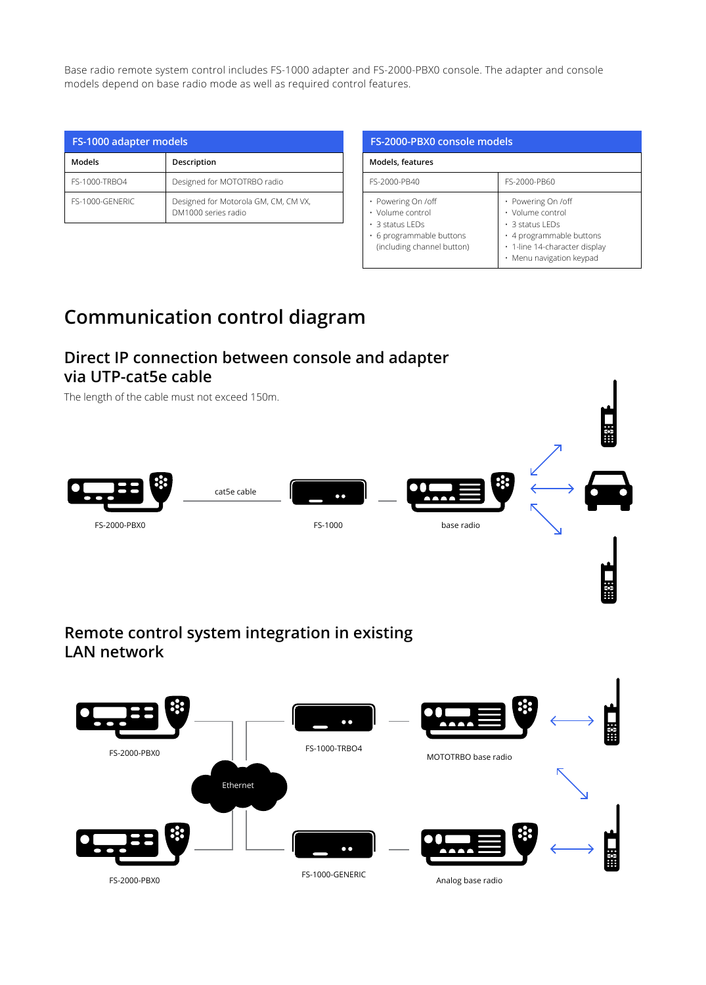Base radio remote system control includes FS-1000 adapter and FS-2000-PBX0 console. The adapter and console models depend on base radio mode as well as required control features.

| FS-1000 adapter models |                                                             |
|------------------------|-------------------------------------------------------------|
| Models                 | Description                                                 |
| FS-1000-TRBO4          | Designed for MOTOTRBO radio                                 |
| FS-1000-GENERIC        | Designed for Motorola GM, CM, CM VX,<br>DM1000 series radio |

| FS-2000-PBX0 console models                                                                                               |                                                                                                                                                          |
|---------------------------------------------------------------------------------------------------------------------------|----------------------------------------------------------------------------------------------------------------------------------------------------------|
| Models, features                                                                                                          |                                                                                                                                                          |
| FS-2000-PB40                                                                                                              | FS-2000-PB60                                                                                                                                             |
| • Powering On /off<br>• Volume control<br>$\cdot$ 3 status LEDs<br>• 6 programmable buttons<br>(including channel button) | • Powering On /off<br>• Volume control<br>$\cdot$ 3 status LEDs<br>• 4 programmable buttons<br>· 1-line 14-character display<br>• Menu navigation keypad |

# **Communication control diagram**

## **Direct IP connection between console and adapter via UTP-cat5e cable**

The length of the cable must not exceed 150m. cat5e cable  $\bullet \bullet$ FS-2000-PBX0 FS-1000 base radio

## **Remote control system integration in existing LAN network**